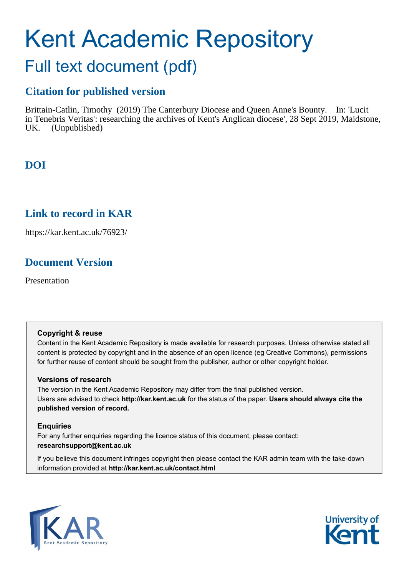# Kent Academic Repository

## Full text document (pdf)

## **Citation for published version**

Brittain-Catlin, Timothy (2019) The Canterbury Diocese and Queen Anne's Bounty. In: 'Lucit in Tenebris Veritas': researching the archives of Kent's Anglican diocese', 28 Sept 2019, Maidstone, UK. (Unpublished)

## **DOI**

### **Link to record in KAR**

https://kar.kent.ac.uk/76923/

## **Document Version**

Presentation

#### **Copyright & reuse**

Content in the Kent Academic Repository is made available for research purposes. Unless otherwise stated all content is protected by copyright and in the absence of an open licence (eg Creative Commons), permissions for further reuse of content should be sought from the publisher, author or other copyright holder.

#### **Versions of research**

The version in the Kent Academic Repository may differ from the final published version. Users are advised to check **http://kar.kent.ac.uk** for the status of the paper. **Users should always cite the published version of record.**

#### **Enquiries**

For any further enquiries regarding the licence status of this document, please contact: **researchsupport@kent.ac.uk**

If you believe this document infringes copyright then please contact the KAR admin team with the take-down information provided at **http://kar.kent.ac.uk/contact.html**



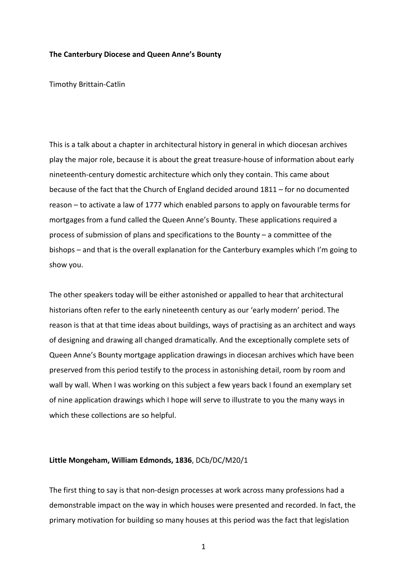#### **The Canterbury Diocese and Queen Anne's Bounty**

Timothy Brittain-Catlin

This is a talk about a chapter in architectural history in general in which diocesan archives play the major role, because it is about the great treasure-house of information about early nineteenth-century domestic architecture which only they contain. This came about because of the fact that the Church of England decided around 1811 – for no documented reason – to activate a law of 1777 which enabled parsons to apply on favourable terms for mortgages from a fund called the Queen Anne's Bounty. These applications required a process of submission of plans and specifications to the Bounty – a committee of the bishops – and that is the overall explanation for the Canterbury examples which I'm going to show you.

The other speakers today will be either astonished or appalled to hear that architectural historians often refer to the early nineteenth century as our 'early modern' period. The reason is that at that time ideas about buildings, ways of practising as an architect and ways of designing and drawing all changed dramatically. And the exceptionally complete sets of Queen Anne's Bounty mortgage application drawings in diocesan archives which have been preserved from this period testify to the process in astonishing detail, room by room and wall by wall. When I was working on this subject a few years back I found an exemplary set of nine application drawings which I hope will serve to illustrate to you the many ways in which these collections are so helpful.

#### **Little Mongeham, William Edmonds, 1836**, DCb/DC/M20/1

The first thing to say is that non-design processes at work across many professions had a demonstrable impact on the way in which houses were presented and recorded. In fact, the primary motivation for building so many houses at this period was the fact that legislation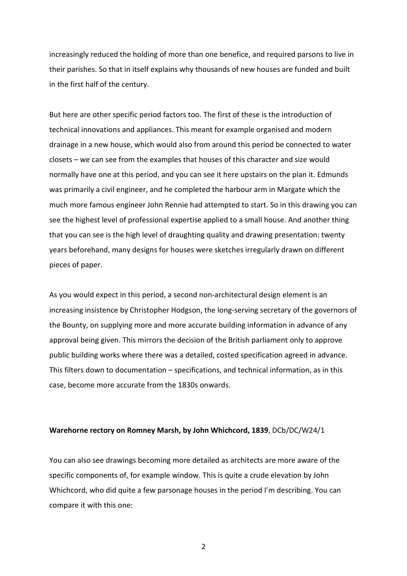increasingly reduced the holding of more than one benefice, and required parsons to live in their parishes. So that in itself explains why thousands of new houses are funded and built in the first half of the century.

But here are other specific period factors too. The first of these is the introduction of technical innovations and appliances. This meant for example organised and modern drainage in a new house, which would also from around this period be connected to water closets – we can see from the examples that houses of this character and size would normally have one at this period, and you can see it here upstairs on the plan it. Edmunds was primarily a civil engineer, and he completed the harbour arm in Margate which the much more famous engineer John Rennie had attempted to start. So in this drawing you can see the highest level of professional expertise applied to a small house. And another thing that you can see is the high level of draughting quality and drawing presentation: twenty years beforehand, many designs for houses were sketches irregularly drawn on different pieces of paper.

As you would expect in this period, a second non-architectural design element is an increasing insistence by Christopher Hodgson, the long-serving secretary of the governors of the Bounty, on supplying more and more accurate building information in advance of any approval being given. This mirrors the decision of the British parliament only to approve public building works where there was a detailed, costed specification agreed in advance. This filters down to documentation – specifications, and technical information, as in this case, become more accurate from the 1830s onwards.

#### **Warehorne rectory on Romney Marsh, by John Whichcord, 1839**, DCb/DC/W24/1

You can also see drawings becoming more detailed as architects are more aware of the specific components of, for example window. This is quite a crude elevation by John Whichcord, who did quite a few parsonage houses in the period I'm describing. You can compare it with this one: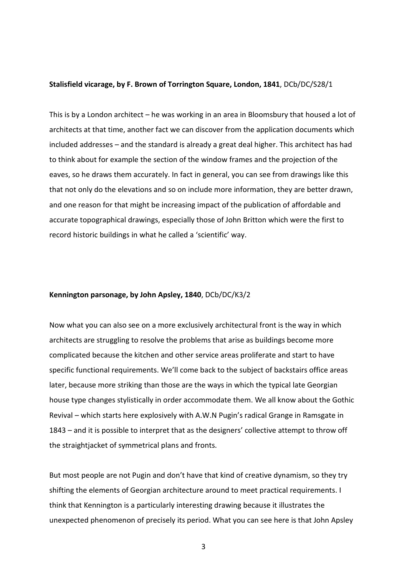#### **Stalisfield vicarage, by F. Brown of Torrington Square, London, 1841**, DCb/DC/S28/1

This is by a London architect – he was working in an area in Bloomsbury that housed a lot of architects at that time, another fact we can discover from the application documents which included addresses – and the standard is already a great deal higher. This architect has had to think about for example the section of the window frames and the projection of the eaves, so he draws them accurately. In fact in general, you can see from drawings like this that not only do the elevations and so on include more information, they are better drawn, and one reason for that might be increasing impact of the publication of affordable and accurate topographical drawings, especially those of John Britton which were the first to record historic buildings in what he called a 'scientific' way.

#### **Kennington parsonage, by John Apsley, 1840**, DCb/DC/K3/2

Now what you can also see on a more exclusively architectural front is the way in which architects are struggling to resolve the problems that arise as buildings become more complicated because the kitchen and other service areas proliferate and start to have specific functional requirements. We'll come back to the subject of backstairs office areas later, because more striking than those are the ways in which the typical late Georgian house type changes stylistically in order accommodate them. We all know about the Gothic Revival – which starts here explosively with A.W.N Pugin's radical Grange in Ramsgate in 1843 – and it is possible to interpret that as the designers' collective attempt to throw off the straightjacket of symmetrical plans and fronts.

But most people are not Pugin and don't have that kind of creative dynamism, so they try shifting the elements of Georgian architecture around to meet practical requirements. I think that Kennington is a particularly interesting drawing because it illustrates the unexpected phenomenon of precisely its period. What you can see here is that John Apsley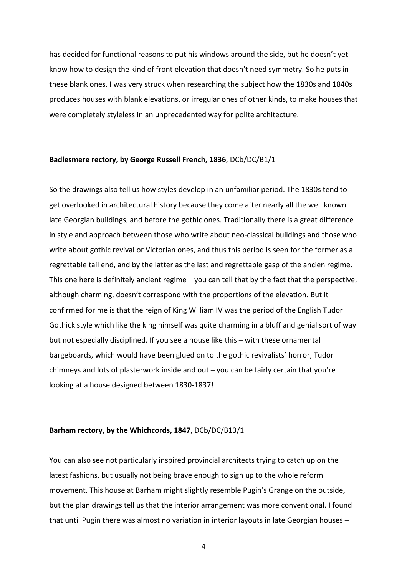has decided for functional reasons to put his windows around the side, but he doesn't yet know how to design the kind of front elevation that doesn't need symmetry. So he puts in these blank ones. I was very struck when researching the subject how the 1830s and 1840s produces houses with blank elevations, or irregular ones of other kinds, to make houses that were completely styleless in an unprecedented way for polite architecture.

#### **Badlesmere rectory, by George Russell French, 1836**, DCb/DC/B1/1

So the drawings also tell us how styles develop in an unfamiliar period. The 1830s tend to get overlooked in architectural history because they come after nearly all the well known late Georgian buildings, and before the gothic ones. Traditionally there is a great difference in style and approach between those who write about neo-classical buildings and those who write about gothic revival or Victorian ones, and thus this period is seen for the former as a regrettable tail end, and by the latter as the last and regrettable gasp of the ancien regime. This one here is definitely ancient regime – you can tell that by the fact that the perspective, although charming, doesn't correspond with the proportions of the elevation. But it confirmed for me is that the reign of King William IV was the period of the English Tudor Gothick style which like the king himself was quite charming in a bluff and genial sort of way but not especially disciplined. If you see a house like this – with these ornamental bargeboards, which would have been glued on to the gothic revivalists' horror, Tudor chimneys and lots of plasterwork inside and out – you can be fairly certain that you're looking at a house designed between 1830-1837!

#### **Barham rectory, by the Whichcords, 1847**, DCb/DC/B13/1

You can also see not particularly inspired provincial architects trying to catch up on the latest fashions, but usually not being brave enough to sign up to the whole reform movement. This house at Barham might slightly resemble Pugin's Grange on the outside, but the plan drawings tell us that the interior arrangement was more conventional. I found that until Pugin there was almost no variation in interior layouts in late Georgian houses –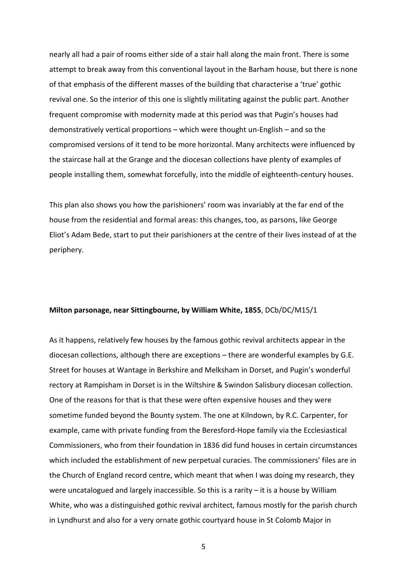nearly all had a pair of rooms either side of a stair hall along the main front. There is some attempt to break away from this conventional layout in the Barham house, but there is none of that emphasis of the different masses of the building that characterise a 'true' gothic revival one. So the interior of this one is slightly militating against the public part. Another frequent compromise with modernity made at this period was that Pugin's houses had demonstratively vertical proportions – which were thought un-English – and so the compromised versions of it tend to be more horizontal. Many architects were influenced by the staircase hall at the Grange and the diocesan collections have plenty of examples of people installing them, somewhat forcefully, into the middle of eighteenth-century houses.

This plan also shows you how the parishioners' room was invariably at the far end of the house from the residential and formal areas: this changes, too, as parsons, like George Eliot's Adam Bede, start to put their parishioners at the centre of their lives instead of at the periphery.

#### **Milton parsonage, near Sittingbourne, by William White, 1855**, DCb/DC/M15/1

As it happens, relatively few houses by the famous gothic revival architects appear in the diocesan collections, although there are exceptions – there are wonderful examples by G.E. Street for houses at Wantage in Berkshire and Melksham in Dorset, and Pugin's wonderful rectory at Rampisham in Dorset is in the Wiltshire & Swindon Salisbury diocesan collection. One of the reasons for that is that these were often expensive houses and they were sometime funded beyond the Bounty system. The one at Kilndown, by R.C. Carpenter, for example, came with private funding from the Beresford-Hope family via the Ecclesiastical Commissioners, who from their foundation in 1836 did fund houses in certain circumstances which included the establishment of new perpetual curacies. The commissioners' files are in the Church of England record centre, which meant that when I was doing my research, they were uncatalogued and largely inaccessible. So this is a rarity – it is a house by William White, who was a distinguished gothic revival architect, famous mostly for the parish church in Lyndhurst and also for a very ornate gothic courtyard house in St Colomb Major in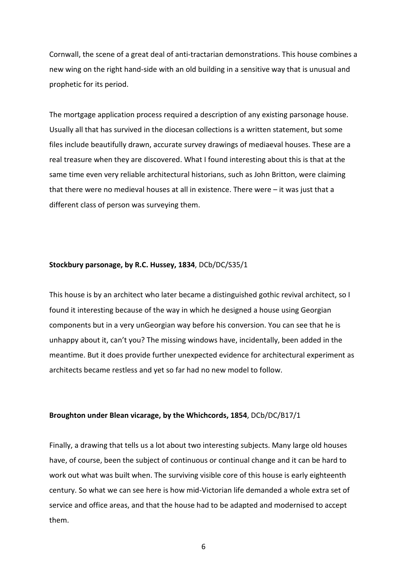Cornwall, the scene of a great deal of anti-tractarian demonstrations. This house combines a new wing on the right hand-side with an old building in a sensitive way that is unusual and prophetic for its period.

The mortgage application process required a description of any existing parsonage house. Usually all that has survived in the diocesan collections is a written statement, but some files include beautifully drawn, accurate survey drawings of mediaeval houses. These are a real treasure when they are discovered. What I found interesting about this is that at the same time even very reliable architectural historians, such as John Britton, were claiming that there were no medieval houses at all in existence. There were – it was just that a different class of person was surveying them.

#### **Stockbury parsonage, by R.C. Hussey, 1834**, DCb/DC/S35/1

This house is by an architect who later became a distinguished gothic revival architect, so I found it interesting because of the way in which he designed a house using Georgian components but in a very unGeorgian way before his conversion. You can see that he is unhappy about it, can't you? The missing windows have, incidentally, been added in the meantime. But it does provide further unexpected evidence for architectural experiment as architects became restless and yet so far had no new model to follow.

#### **Broughton under Blean vicarage, by the Whichcords, 1854**, DCb/DC/B17/1

Finally, a drawing that tells us a lot about two interesting subjects. Many large old houses have, of course, been the subject of continuous or continual change and it can be hard to work out what was built when. The surviving visible core of this house is early eighteenth century. So what we can see here is how mid-Victorian life demanded a whole extra set of service and office areas, and that the house had to be adapted and modernised to accept them.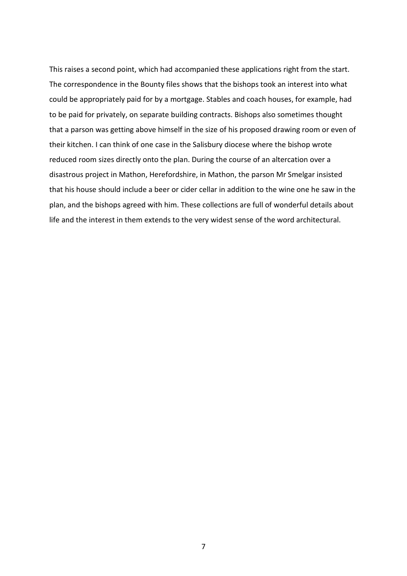This raises a second point, which had accompanied these applications right from the start. The correspondence in the Bounty files shows that the bishops took an interest into what could be appropriately paid for by a mortgage. Stables and coach houses, for example, had to be paid for privately, on separate building contracts. Bishops also sometimes thought that a parson was getting above himself in the size of his proposed drawing room or even of their kitchen. I can think of one case in the Salisbury diocese where the bishop wrote reduced room sizes directly onto the plan. During the course of an altercation over a disastrous project in Mathon, Herefordshire, in Mathon, the parson Mr Smelgar insisted that his house should include a beer or cider cellar in addition to the wine one he saw in the plan, and the bishops agreed with him. These collections are full of wonderful details about life and the interest in them extends to the very widest sense of the word architectural.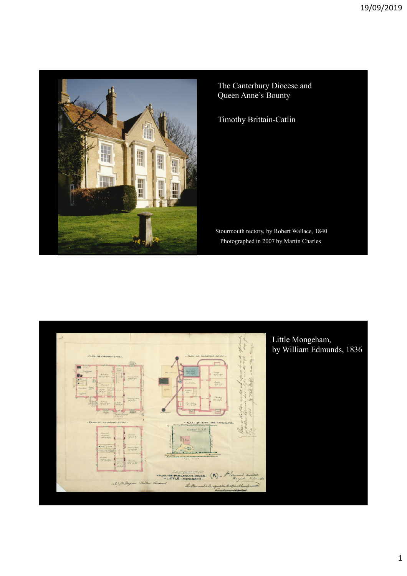

The Canterbury Diocese and Queen Anne's Bounty

Timothy Brittain-Catlin

Stourmouth rectory, by Robert Wallace, 1840 Photographed in 2007 by Martin Charles

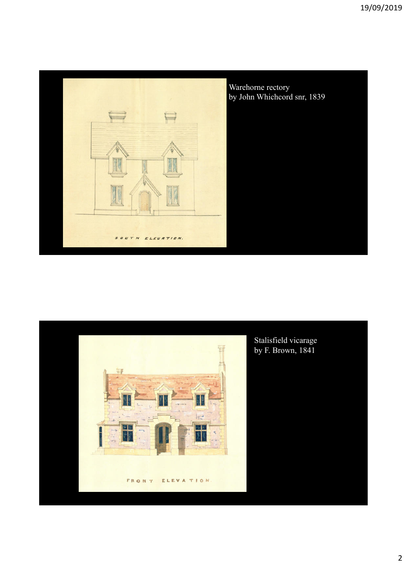

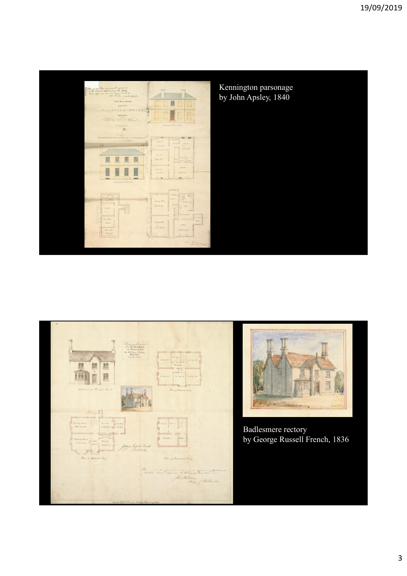

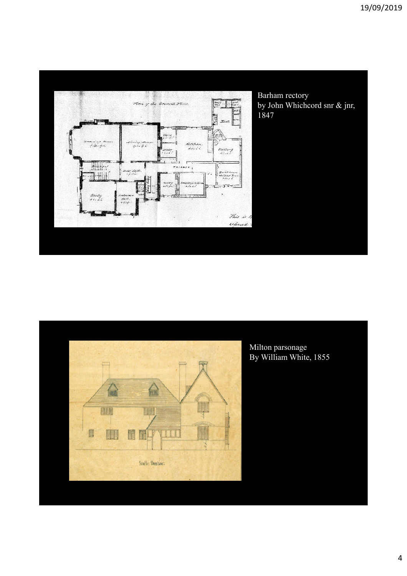

Barham rectory by John Whichcord snr & jnr, 1847